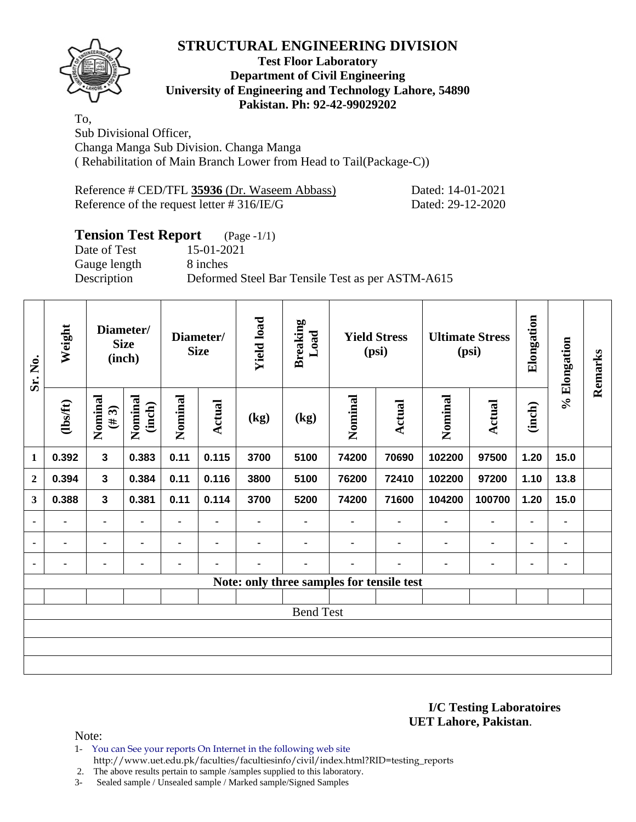

#### **Test Floor Laboratory Department of Civil Engineering University of Engineering and Technology Lahore, 54890 Pakistan. Ph: 92-42-99029202**

To, Sub Divisional Officer, Changa Manga Sub Division. Changa Manga ( Rehabilitation of Main Branch Lower from Head to Tail(Package-C))

| Reference # CED/TFL 35936 (Dr. Waseem Abbass) | Dated: 14-01-2021 |
|-----------------------------------------------|-------------------|
| Reference of the request letter $\#316/IE/G$  | Dated: 29-12-2020 |

# **Tension Test Report** (Page -1/1)

Date of Test 15-01-2021 Gauge length 8 inches

Description Deformed Steel Bar Tensile Test as per ASTM-A615

| Sr. No.        | Weight         | Diameter/<br><b>Size</b><br>(inch) |                   |         |                          | Diameter/<br><b>Size</b> |                                           | <b>Yield load</b><br><b>Breaking</b><br>Load |                | <b>Yield Stress</b><br>(psi) |               | <b>Ultimate Stress</b><br>(psi) |      | Elongation | % Elongation | Remarks |
|----------------|----------------|------------------------------------|-------------------|---------|--------------------------|--------------------------|-------------------------------------------|----------------------------------------------|----------------|------------------------------|---------------|---------------------------------|------|------------|--------------|---------|
|                | $\frac{2}{10}$ | Nominal<br>$($ #3)                 | Nominal<br>(inch) | Nominal | Actual                   | (kg)                     | (kg)                                      | Nominal                                      | Actual         | Nominal                      | <b>Actual</b> | (inch)                          |      |            |              |         |
| 1              | 0.392          | $\overline{\mathbf{3}}$            | 0.383             | 0.11    | 0.115                    | 3700                     | 5100                                      | 74200                                        | 70690          | 102200                       | 97500         | 1.20                            | 15.0 |            |              |         |
| $\mathbf{2}$   | 0.394          | 3                                  | 0.384             | 0.11    | 0.116                    | 3800                     | 5100                                      | 76200                                        | 72410          | 102200                       | 97200         | 1.10                            | 13.8 |            |              |         |
| 3              | 0.388          | $\mathbf{3}$                       | 0.381             | 0.11    | 0.114                    | 3700                     | 5200                                      | 74200                                        | 71600          | 104200                       | 100700        | 1.20                            | 15.0 |            |              |         |
| $\blacksquare$ | ۰              | $\blacksquare$                     | $\blacksquare$    | ۰       | $\blacksquare$           | ٠                        | ٠                                         |                                              | $\blacksquare$ | $\blacksquare$               | ٠             | ۰                               | ٠    |            |              |         |
| $\blacksquare$ |                | ۰                                  |                   |         | $\overline{\phantom{a}}$ |                          |                                           |                                              |                | $\blacksquare$               | ۰             | ٠                               | ۰    |            |              |         |
| ٠              | ٠              | ۰                                  |                   |         |                          | ٠                        | ٠                                         |                                              | ٠              | $\blacksquare$               | ٠             | ٠                               | ٠    |            |              |         |
|                |                |                                    |                   |         |                          |                          | Note: only three samples for tensile test |                                              |                |                              |               |                                 |      |            |              |         |
|                |                |                                    |                   |         |                          |                          |                                           |                                              |                |                              |               |                                 |      |            |              |         |
|                |                |                                    |                   |         |                          |                          | <b>Bend Test</b>                          |                                              |                |                              |               |                                 |      |            |              |         |
|                |                |                                    |                   |         |                          |                          |                                           |                                              |                |                              |               |                                 |      |            |              |         |
|                |                |                                    |                   |         |                          |                          |                                           |                                              |                |                              |               |                                 |      |            |              |         |
|                |                |                                    |                   |         |                          |                          |                                           |                                              |                |                              |               |                                 |      |            |              |         |

**I/C Testing Laboratoires UET Lahore, Pakistan**.

Note:

1- You can See your reports On Internet in the following web site

http://www.uet.edu.pk/faculties/facultiesinfo/civil/index.html?RID=testing\_reports

2. The above results pertain to sample /samples supplied to this laboratory.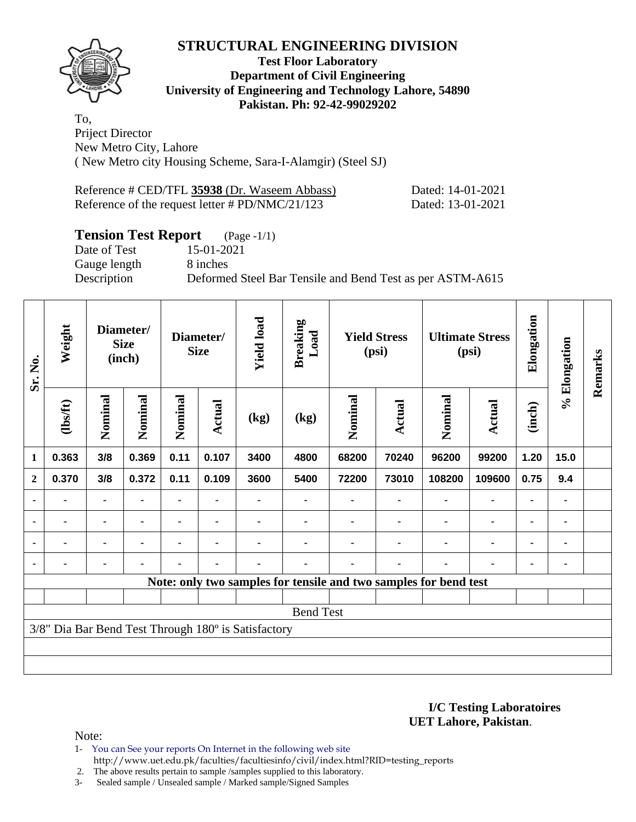

#### **Test Floor Laboratory Department of Civil Engineering University of Engineering and Technology Lahore, 54890 Pakistan. Ph: 92-42-99029202**

To, Priject Director New Metro City, Lahore ( New Metro city Housing Scheme, Sara-I-Alamgir) (Steel SJ)

| Reference # CED/TFL 35938 (Dr. Waseem Abbass)                    | Dated: 14-01-2021 |
|------------------------------------------------------------------|-------------------|
| Reference of the request letter $\# \text{PD}/\text{NMC}/21/123$ | Dated: 13-01-2021 |

# **Tension Test Report** (Page -1/1)

Gauge length 8 inches

Date of Test 15-01-2021

Description Deformed Steel Bar Tensile and Bend Test as per ASTM-A615

| Sr. No.        | Weight  | Diameter/<br><b>Size</b><br>(inch) |                |         |               | Diameter/<br><b>Size</b>                            |                  | <b>Yield load</b> | <b>Breaking</b><br>Load | <b>Yield Stress</b><br>(psi)                                     |                | <b>Ultimate Stress</b><br>(psi) |      | Elongation | % Elongation | Remarks |
|----------------|---------|------------------------------------|----------------|---------|---------------|-----------------------------------------------------|------------------|-------------------|-------------------------|------------------------------------------------------------------|----------------|---------------------------------|------|------------|--------------|---------|
|                | (1bsft) | Nominal                            | Nominal        | Nominal | <b>Actual</b> | (kg)                                                | (kg)             | Nominal           | Actual                  | Nominal                                                          | <b>Actual</b>  | (inch)                          |      |            |              |         |
| 1              | 0.363   | 3/8                                | 0.369          | 0.11    | 0.107         | 3400                                                | 4800             | 68200             | 70240                   | 96200                                                            | 99200          | 1.20                            | 15.0 |            |              |         |
| $\mathbf{2}$   | 0.370   | 3/8                                | 0.372          | 0.11    | 0.109         | 3600                                                | 5400             | 72200             | 73010                   | 108200                                                           | 109600         | 0.75                            | 9.4  |            |              |         |
|                |         | ۰                                  |                |         |               |                                                     |                  |                   |                         |                                                                  |                |                                 |      |            |              |         |
| $\blacksquare$ |         | ۰                                  |                |         |               |                                                     |                  |                   |                         |                                                                  | ۰              | $\blacksquare$                  |      |            |              |         |
|                | ۰       |                                    | $\blacksquare$ |         |               |                                                     |                  |                   |                         |                                                                  | $\blacksquare$ | ۰                               |      |            |              |         |
|                |         | $\blacksquare$                     | $\blacksquare$ |         | ٠             |                                                     |                  |                   |                         |                                                                  | ۰              | ٠                               |      |            |              |         |
|                |         |                                    |                |         |               |                                                     |                  |                   |                         | Note: only two samples for tensile and two samples for bend test |                |                                 |      |            |              |         |
|                |         |                                    |                |         |               |                                                     |                  |                   |                         |                                                                  |                |                                 |      |            |              |         |
|                |         |                                    |                |         |               |                                                     | <b>Bend Test</b> |                   |                         |                                                                  |                |                                 |      |            |              |         |
|                |         |                                    |                |         |               | 3/8" Dia Bar Bend Test Through 180° is Satisfactory |                  |                   |                         |                                                                  |                |                                 |      |            |              |         |
|                |         |                                    |                |         |               |                                                     |                  |                   |                         |                                                                  |                |                                 |      |            |              |         |
|                |         |                                    |                |         |               |                                                     |                  |                   |                         |                                                                  |                |                                 |      |            |              |         |

**I/C Testing Laboratoires UET Lahore, Pakistan**.

Note:

1- You can See your reports On Internet in the following web site http://www.uet.edu.pk/faculties/facultiesinfo/civil/index.html?RID=testing\_reports

2. The above results pertain to sample /samples supplied to this laboratory.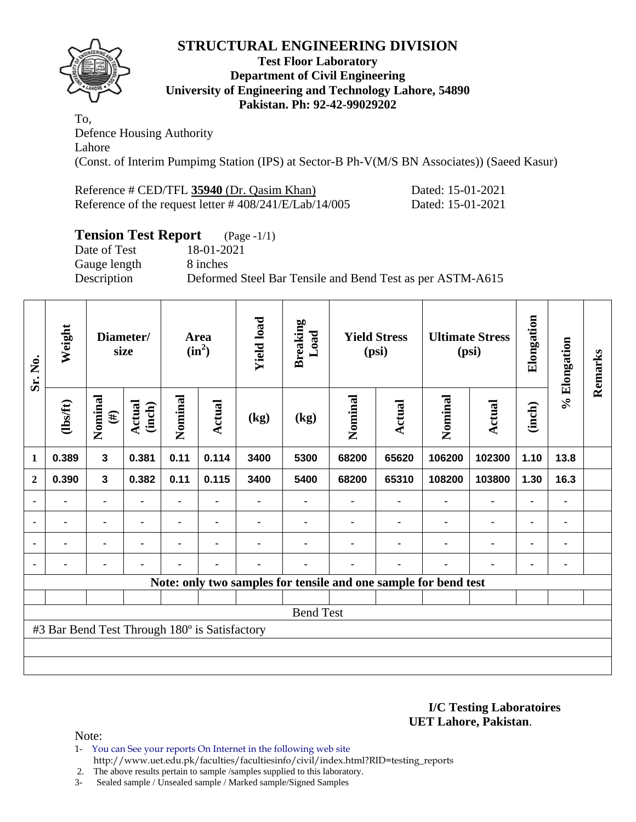

#### **Test Floor Laboratory Department of Civil Engineering University of Engineering and Technology Lahore, 54890 Pakistan. Ph: 92-42-99029202**

To, Defence Housing Authority Lahore (Const. of Interim Pumpimg Station (IPS) at Sector-B Ph-V(M/S BN Associates)) (Saeed Kasur)

Reference # CED/TFL **35940** (Dr. Qasim Khan) Dated: 15-01-2021 Reference of the request letter # 408/241/E/Lab/14/005 Dated: 15-01-2021

# **Tension Test Report** (Page -1/1)

Date of Test 18-01-2021 Gauge length 8 inches

Description Deformed Steel Bar Tensile and Bend Test as per ASTM-A615

| Sr. No.        | Weight                                        |                   | Diameter/<br>size       |                |                |      |                  |                |                |                                                                 |                |                |      |  |  |  |  |  |  |  |  |  |  |  |  |  |  |  |  |  | <b>Area</b><br>$(in^2)$ | <b>Yield load</b> | <b>Breaking</b><br>Load |  | <b>Yield Stress</b><br>(psi) |  | <b>Ultimate Stress</b><br>(psi) | Elongation | % Elongation | Remarks |
|----------------|-----------------------------------------------|-------------------|-------------------------|----------------|----------------|------|------------------|----------------|----------------|-----------------------------------------------------------------|----------------|----------------|------|--|--|--|--|--|--|--|--|--|--|--|--|--|--|--|--|--|-------------------------|-------------------|-------------------------|--|------------------------------|--|---------------------------------|------------|--------------|---------|
|                | (lbs/ft)                                      | Nominal<br>$(\#)$ | <b>Actual</b><br>(inch) | Nominal        | <b>Actual</b>  | (kg) | (kg)             | Nominal        | Actual         | Nominal                                                         | Actual         | (inch)         |      |  |  |  |  |  |  |  |  |  |  |  |  |  |  |  |  |  |                         |                   |                         |  |                              |  |                                 |            |              |         |
| $\mathbf{1}$   | 0.389                                         | $\mathbf{3}$      | 0.381                   | 0.11           | 0.114          | 3400 | 5300             | 68200          | 65620          | 106200                                                          | 102300         | 1.10           | 13.8 |  |  |  |  |  |  |  |  |  |  |  |  |  |  |  |  |  |                         |                   |                         |  |                              |  |                                 |            |              |         |
| $\overline{2}$ | 0.390                                         | $\mathbf{3}$      | 0.382                   | 0.11           | 0.115          | 3400 | 5400             | 68200          | 65310          | 108200                                                          | 103800         | 1.30           | 16.3 |  |  |  |  |  |  |  |  |  |  |  |  |  |  |  |  |  |                         |                   |                         |  |                              |  |                                 |            |              |         |
|                |                                               | ۰                 |                         |                |                |      | ۰                |                |                |                                                                 | $\blacksquare$ | ۰              |      |  |  |  |  |  |  |  |  |  |  |  |  |  |  |  |  |  |                         |                   |                         |  |                              |  |                                 |            |              |         |
| $\blacksquare$ | ٠                                             | ۰                 | $\blacksquare$          | ۰              | ۰              |      | ۰                |                | ۰              | $\blacksquare$                                                  | $\blacksquare$ | $\blacksquare$ | ٠    |  |  |  |  |  |  |  |  |  |  |  |  |  |  |  |  |  |                         |                   |                         |  |                              |  |                                 |            |              |         |
|                | $\blacksquare$                                | $\blacksquare$    |                         | $\blacksquare$ | ۰              |      |                  |                |                |                                                                 | $\blacksquare$ | $\blacksquare$ |      |  |  |  |  |  |  |  |  |  |  |  |  |  |  |  |  |  |                         |                   |                         |  |                              |  |                                 |            |              |         |
|                | $\blacksquare$                                | ۰                 | $\blacksquare$          | ۰              | $\blacksquare$ |      | ۰                | $\blacksquare$ | $\blacksquare$ |                                                                 | $\blacksquare$ | ۰              |      |  |  |  |  |  |  |  |  |  |  |  |  |  |  |  |  |  |                         |                   |                         |  |                              |  |                                 |            |              |         |
|                |                                               |                   |                         |                |                |      |                  |                |                | Note: only two samples for tensile and one sample for bend test |                |                |      |  |  |  |  |  |  |  |  |  |  |  |  |  |  |  |  |  |                         |                   |                         |  |                              |  |                                 |            |              |         |
|                |                                               |                   |                         |                |                |      |                  |                |                |                                                                 |                |                |      |  |  |  |  |  |  |  |  |  |  |  |  |  |  |  |  |  |                         |                   |                         |  |                              |  |                                 |            |              |         |
|                |                                               |                   |                         |                |                |      | <b>Bend Test</b> |                |                |                                                                 |                |                |      |  |  |  |  |  |  |  |  |  |  |  |  |  |  |  |  |  |                         |                   |                         |  |                              |  |                                 |            |              |         |
|                | #3 Bar Bend Test Through 180° is Satisfactory |                   |                         |                |                |      |                  |                |                |                                                                 |                |                |      |  |  |  |  |  |  |  |  |  |  |  |  |  |  |  |  |  |                         |                   |                         |  |                              |  |                                 |            |              |         |
|                |                                               |                   |                         |                |                |      |                  |                |                |                                                                 |                |                |      |  |  |  |  |  |  |  |  |  |  |  |  |  |  |  |  |  |                         |                   |                         |  |                              |  |                                 |            |              |         |
|                |                                               |                   |                         |                |                |      |                  |                |                |                                                                 |                |                |      |  |  |  |  |  |  |  |  |  |  |  |  |  |  |  |  |  |                         |                   |                         |  |                              |  |                                 |            |              |         |

**I/C Testing Laboratoires UET Lahore, Pakistan**.

Note:

1- You can See your reports On Internet in the following web site http://www.uet.edu.pk/faculties/facultiesinfo/civil/index.html?RID=testing\_reports

2. The above results pertain to sample /samples supplied to this laboratory.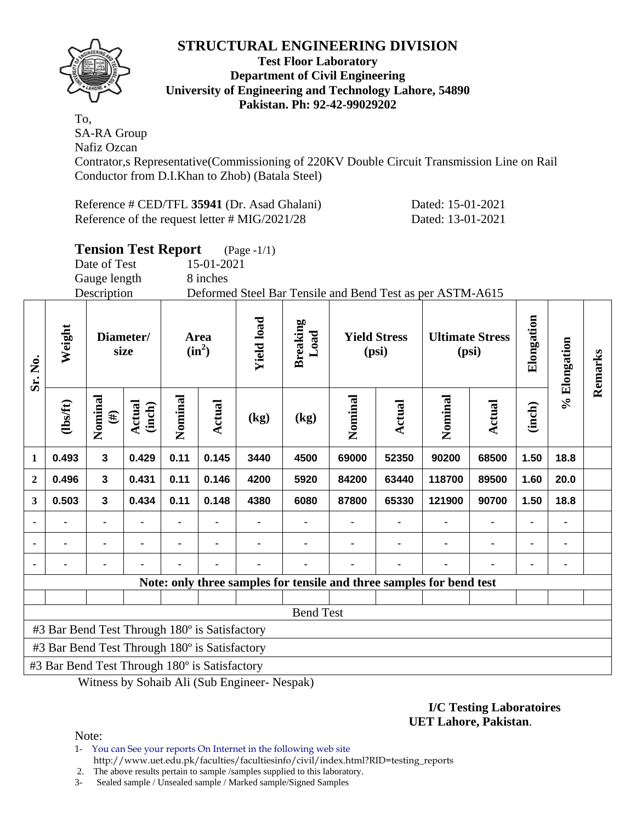

#### **Test Floor Laboratory Department of Civil Engineering University of Engineering and Technology Lahore, 54890 Pakistan. Ph: 92-42-99029202**

To, SA-RA Group Nafiz Ozcan

Contrator,s Representative(Commissioning of 220KV Double Circuit Transmission Line on Rail Conductor from D.I.Khan to Zhob) (Batala Steel)

Reference # CED/TFL **35941** (Dr. Asad Ghalani) Dated: 15-01-2021 Reference of the request letter # MIG/2021/28 Dated: 13-01-2021

|                |                                               |                   | <b>Tension Test Report</b> |                  |                                                           | $(Page -1/1)$     |                                                         |         |                                 |                                                                      |                |                |         |  |
|----------------|-----------------------------------------------|-------------------|----------------------------|------------------|-----------------------------------------------------------|-------------------|---------------------------------------------------------|---------|---------------------------------|----------------------------------------------------------------------|----------------|----------------|---------|--|
|                |                                               | Date of Test      |                            |                  | 15-01-2021                                                |                   |                                                         |         |                                 |                                                                      |                |                |         |  |
|                |                                               | Gauge length      |                            |                  | 8 inches                                                  |                   |                                                         |         |                                 |                                                                      |                |                |         |  |
|                |                                               | Description       |                            |                  | Deformed Steel Bar Tensile and Bend Test as per ASTM-A615 |                   |                                                         |         |                                 |                                                                      |                |                |         |  |
| Sr. No.        | Weight                                        | Diameter/<br>size |                            | Area<br>$(in^2)$ |                                                           | <b>Yield load</b> | <b>Breaking</b><br>Load<br><b>Yield Stress</b><br>(psi) |         | <b>Ultimate Stress</b><br>(psi) |                                                                      | Elongation     | % Elongation   | Remarks |  |
|                | (lbs/ft)                                      | Nominal<br>$(\#)$ | Actual<br>(inch)           | Nominal          | Actual                                                    | (kg)              | (kg)                                                    | Nominal | <b>Actual</b>                   | Nominal                                                              | Actual         | (inch)         |         |  |
| $\mathbf{1}$   | 0.493                                         | $\mathbf{3}$      | 0.429                      | 0.11             | 0.145                                                     | 3440              | 4500                                                    | 69000   | 52350                           | 90200                                                                | 68500          | 1.50           | 18.8    |  |
| $\overline{2}$ | 0.496                                         | $\overline{3}$    | 0.431                      | 0.11             | 0.146                                                     | 4200              | 5920                                                    | 84200   | 63440                           | 118700                                                               | 89500          | 1.60           | 20.0    |  |
| $\mathbf{3}$   | 0.503                                         | $\mathbf{3}$      | 0.434                      | 0.11             | 0.148                                                     | 4380              | 6080                                                    | 87800   | 65330                           | 121900                                                               | 90700          | 1.50           | 18.8    |  |
| $\blacksquare$ |                                               |                   | $\blacksquare$             |                  |                                                           |                   |                                                         |         | $\blacksquare$                  |                                                                      | $\blacksquare$ | $\blacksquare$ |         |  |
|                |                                               |                   |                            |                  |                                                           |                   |                                                         |         |                                 |                                                                      |                |                |         |  |
|                |                                               |                   |                            |                  |                                                           |                   |                                                         |         |                                 |                                                                      |                |                |         |  |
|                |                                               |                   |                            |                  |                                                           |                   |                                                         |         |                                 | Note: only three samples for tensile and three samples for bend test |                |                |         |  |
|                |                                               |                   |                            |                  |                                                           |                   |                                                         |         |                                 |                                                                      |                |                |         |  |
|                |                                               |                   |                            |                  |                                                           |                   | <b>Bend Test</b>                                        |         |                                 |                                                                      |                |                |         |  |
|                | #3 Bar Bend Test Through 180° is Satisfactory |                   |                            |                  |                                                           |                   |                                                         |         |                                 |                                                                      |                |                |         |  |
|                | #3 Bar Bend Test Through 180° is Satisfactory |                   |                            |                  |                                                           |                   |                                                         |         |                                 |                                                                      |                |                |         |  |
|                | #3 Bar Bend Test Through 180° is Satisfactory |                   |                            |                  |                                                           |                   |                                                         |         |                                 |                                                                      |                |                |         |  |

Witness by Sohaib Ali (Sub Engineer- Nespak)

#### **I/C Testing Laboratoires UET Lahore, Pakistan**.

Note:

1- You can See your reports On Internet in the following web site http://www.uet.edu.pk/faculties/facultiesinfo/civil/index.html?RID=testing\_reports

2. The above results pertain to sample /samples supplied to this laboratory.